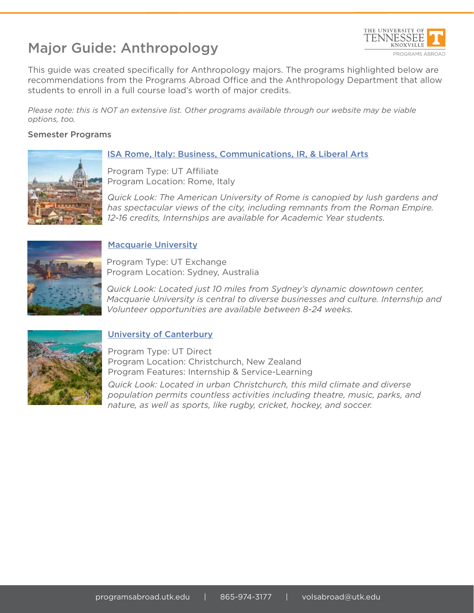# Major Guide: Anthropology



This guide was created specifically for Anthropology majors. The programs highlighted below are recommendations from the Programs Abroad Office and the Anthropology Department that allow students to enroll in a full course load's worth of major credits.

*Please note: this is NOT an extensive list. Other programs available through our website may be viable options, too.*

### Semester Programs



### ISA Rome, Italy: Business, Communications, IR, & Liberal Arts

Program Type: UT Affiliate Program Location: Rome, Italy

*Quick Look: The American University of Rome is canopied by lush gardens and has spectacular views of the city, including remnants from the Roman Empire. 12-16 credits, Internships are available for Academic Year students.*



### Macquarie University

Program Type: UT Exchange Program Location: Sydney, Australia

*Quick Look: Located just 10 miles from Sydney's dynamic downtown center, Macquarie University is central to diverse businesses and culture. Internship and Volunteer opportunities are available between 8-24 weeks.* 



## University of Canterbury

Program Type: UT Direct Program Location: Christchurch, New Zealand Program Features: Internship & Service-Learning *Quick Look: Located in urban Christchurch, this mild climate and diverse population permits countless activities including theatre, music, parks, and nature, as well as sports, like rugby, cricket, hockey, and soccer.*